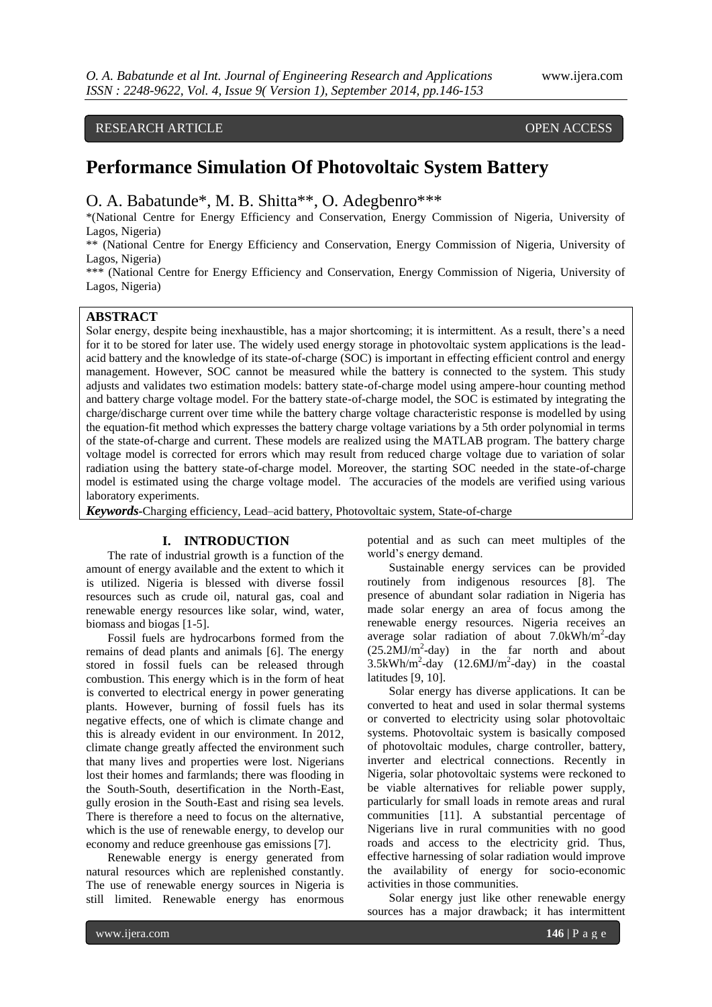# RESEARCH ARTICLE **CONSERVERS** OPEN ACCESS

# **Performance Simulation Of Photovoltaic System Battery**

O. A. Babatunde\*, M. B. Shitta\*\*, O. Adegbenro\*\*\*

\*(National Centre for Energy Efficiency and Conservation, Energy Commission of Nigeria, University of Lagos, Nigeria)

\*\* (National Centre for Energy Efficiency and Conservation, Energy Commission of Nigeria, University of Lagos, Nigeria)

\*\*\* (National Centre for Energy Efficiency and Conservation, Energy Commission of Nigeria, University of Lagos, Nigeria)

# **ABSTRACT**

Solar energy, despite being inexhaustible, has a major shortcoming; it is intermittent. As a result, there's a need for it to be stored for later use. The widely used energy storage in photovoltaic system applications is the leadacid battery and the knowledge of its state-of-charge (SOC) is important in effecting efficient control and energy management. However, SOC cannot be measured while the battery is connected to the system. This study adjusts and validates two estimation models: battery state-of-charge model using ampere-hour counting method and battery charge voltage model. For the battery state-of-charge model, the SOC is estimated by integrating the charge/discharge current over time while the battery charge voltage characteristic response is modelled by using the equation-fit method which expresses the battery charge voltage variations by a 5th order polynomial in terms of the state-of-charge and current. These models are realized using the MATLAB program. The battery charge voltage model is corrected for errors which may result from reduced charge voltage due to variation of solar radiation using the battery state-of-charge model. Moreover, the starting SOC needed in the state-of-charge model is estimated using the charge voltage model. The accuracies of the models are verified using various laboratory experiments.

*Keywords***-**Charging efficiency, Lead–acid battery, Photovoltaic system, State-of-charge

#### **I. INTRODUCTION**

The rate of industrial growth is a function of the amount of energy available and the extent to which it is utilized. Nigeria is blessed with diverse fossil resources such as crude oil, natural gas, coal and renewable energy resources like solar, wind, water, biomass and biogas [1-5].

Fossil fuels are hydrocarbons formed from the remains of dead plants and animals [6]. The energy stored in fossil fuels can be released through combustion. This energy which is in the form of heat is converted to electrical energy in power generating plants. However, burning of fossil fuels has its negative effects, one of which is climate change and this is already evident in our environment. In 2012, climate change greatly affected the environment such that many lives and properties were lost. Nigerians lost their homes and farmlands; there was flooding in the South-South, desertification in the North-East, gully erosion in the South-East and rising sea levels. There is therefore a need to focus on the alternative, which is the use of renewable energy, to develop our economy and reduce greenhouse gas emissions [7].

Renewable energy is energy generated from natural resources which are replenished constantly. The use of renewable energy sources in Nigeria is still limited. Renewable energy has enormous

potential and as such can meet multiples of the world's energy demand.

Sustainable energy services can be provided routinely from indigenous resources [8]. The presence of abundant solar radiation in Nigeria has made solar energy an area of focus among the renewable energy resources. Nigeria receives an average solar radiation of about  $7.0$ kWh/m<sup>2</sup>-day  $(25.2 MJ/m<sup>2</sup>-day)$  in the far north and about  $3.5$ kWh/m<sup>2</sup>-day (12.6MJ/m<sup>2</sup>-day) in the coastal latitudes [9, 10].

Solar energy has diverse applications. It can be converted to heat and used in solar thermal systems or converted to electricity using solar photovoltaic systems. Photovoltaic system is basically composed of photovoltaic modules, charge controller, battery, inverter and electrical connections. Recently in Nigeria, solar photovoltaic systems were reckoned to be viable alternatives for reliable power supply, particularly for small loads in remote areas and rural communities [11]. A substantial percentage of Nigerians live in rural communities with no good roads and access to the electricity grid. Thus, effective harnessing of solar radiation would improve the availability of energy for socio-economic activities in those communities.

Solar energy just like other renewable energy sources has a major drawback; it has intermittent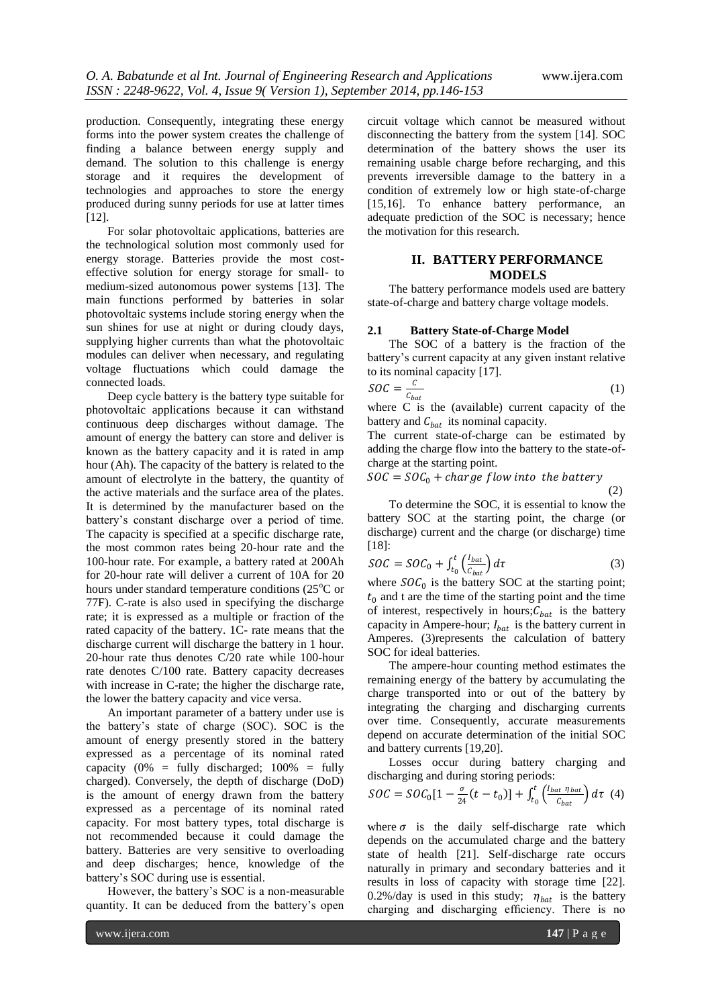production. Consequently, integrating these energy forms into the power system creates the challenge of finding a balance between energy supply and demand. The solution to this challenge is energy storage and it requires the development of technologies and approaches to store the energy produced during sunny periods for use at latter times [12].

For solar photovoltaic applications, batteries are the technological solution most commonly used for energy storage. Batteries provide the most costeffective solution for energy storage for small- to medium-sized autonomous power systems [13]. The main functions performed by batteries in solar photovoltaic systems include storing energy when the sun shines for use at night or during cloudy days, supplying higher currents than what the photovoltaic modules can deliver when necessary, and regulating voltage fluctuations which could damage the connected loads.

Deep cycle battery is the battery type suitable for photovoltaic applications because it can withstand continuous deep discharges without damage. The amount of energy the battery can store and deliver is known as the battery capacity and it is rated in amp hour (Ah). The capacity of the battery is related to the amount of electrolyte in the battery, the quantity of the active materials and the surface area of the plates. It is determined by the manufacturer based on the battery's constant discharge over a period of time. The capacity is specified at a specific discharge rate, the most common rates being 20-hour rate and the 100-hour rate. For example, a battery rated at 200Ah for 20-hour rate will deliver a current of 10A for 20 hours under standard temperature conditions  $(25^{\circ}$ C or 77F). C-rate is also used in specifying the discharge rate; it is expressed as a multiple or fraction of the rated capacity of the battery. 1C- rate means that the discharge current will discharge the battery in 1 hour. 20-hour rate thus denotes C/20 rate while 100-hour rate denotes C/100 rate. Battery capacity decreases with increase in C-rate; the higher the discharge rate, the lower the battery capacity and vice versa.

An important parameter of a battery under use is the battery's state of charge (SOC). SOC is the amount of energy presently stored in the battery expressed as a percentage of its nominal rated capacity  $(0\%$  = fully discharged;  $100\%$  = fully charged). Conversely, the depth of discharge (DoD) is the amount of energy drawn from the battery expressed as a percentage of its nominal rated capacity. For most battery types, total discharge is not recommended because it could damage the battery. Batteries are very sensitive to overloading and deep discharges; hence, knowledge of the battery's SOC during use is essential.

However, the battery's SOC is a non-measurable quantity. It can be deduced from the battery's open

circuit voltage which cannot be measured without disconnecting the battery from the system [14]. SOC determination of the battery shows the user its remaining usable charge before recharging, and this prevents irreversible damage to the battery in a condition of extremely low or high state-of-charge [15,16]. To enhance battery performance, an adequate prediction of the SOC is necessary; hence the motivation for this research.

# **II. BATTERY PERFORMANCE MODELS**

The battery performance models used are battery state-of-charge and battery charge voltage models.

#### **2.1 Battery State-of-Charge Model**

The SOC of a battery is the fraction of the battery's current capacity at any given instant relative to its nominal capacity [17].

$$
SOC = \frac{c}{c_{bat}} \tag{1}
$$

where C is the (available) current capacity of the battery and  $C_{bat}$  its nominal capacity.

The current state-of-charge can be estimated by adding the charge flow into the battery to the state-ofcharge at the starting point.

$$
SOC = SOC0 + charge flow into the battery
$$
\n(2)

To determine the SOC, it is essential to know the battery SOC at the starting point, the charge (or discharge) current and the charge (or discharge) time [18]:

$$
SOC = SOC_0 + \int_{t_0}^{t} \left(\frac{I_{bat}}{C_{bat}}\right) d\tau
$$
 (3)

where  $SOC_0$  is the battery SOC at the starting point;  $t_0$  and t are the time of the starting point and the time of interest, respectively in hours;  $C_{bat}$  is the battery capacity in Ampere-hour;  $I_{bat}$  is the battery current in Amperes. (3)represents the calculation of battery SOC for ideal batteries.

The ampere-hour counting method estimates the remaining energy of the battery by accumulating the charge transported into or out of the battery by integrating the charging and discharging currents over time. Consequently, accurate measurements depend on accurate determination of the initial SOC and battery currents [19,20].

Losses occur during battery charging and discharging and during storing periods:

$$
SOC = SOC_0[1 - \frac{\sigma}{24}(t - t_0)] + \int_{t_0}^t \left(\frac{l_{bat} \eta_{bat}}{c_{bat}}\right) d\tau
$$
 (4)

where  $\sigma$  is the daily self-discharge rate which depends on the accumulated charge and the battery state of health [21]. Self-discharge rate occurs naturally in primary and secondary batteries and it results in loss of capacity with storage time [22]. 0.2%/day is used in this study;  $\eta_{bat}$  is the battery charging and discharging efficiency. There is no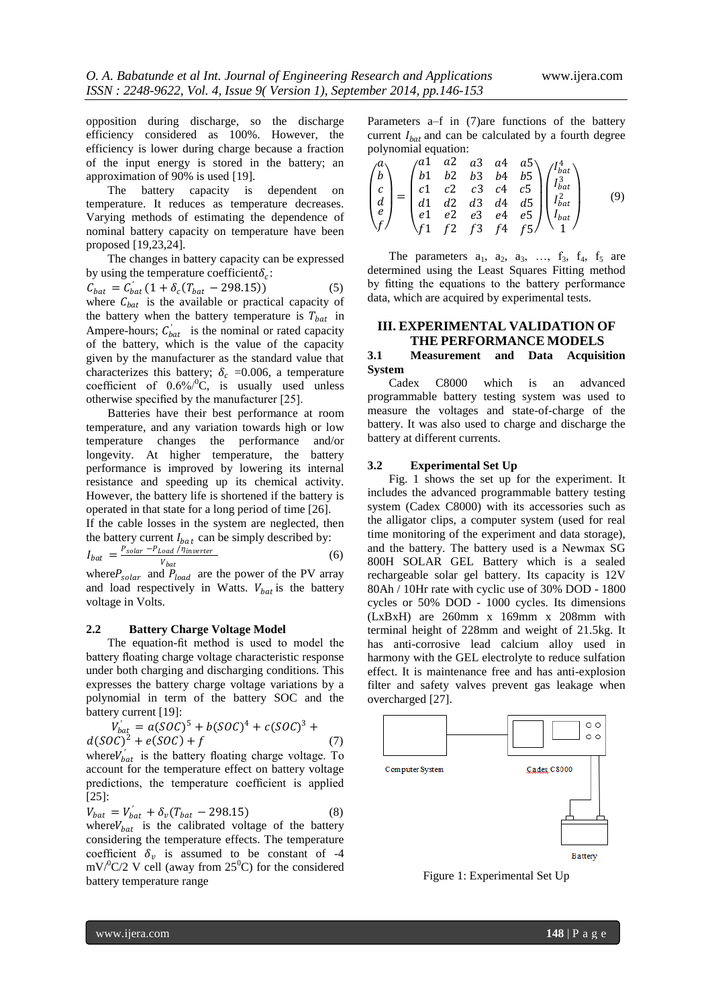opposition during discharge, so the discharge efficiency considered as 100%. However, the efficiency is lower during charge because a fraction of the input energy is stored in the battery; an approximation of 90% is used [19].

The battery capacity is dependent on temperature. It reduces as temperature decreases. Varying methods of estimating the dependence of nominal battery capacity on temperature have been proposed [19,23,24].

The changes in battery capacity can be expressed by using the temperature coefficient  $\delta_c$ :

 $C_{bat} = C'_{bat} (1 + \delta_c (T_{bat} - 298.15))$  (5) where  $C_{bat}$  is the available or practical capacity of the battery when the battery temperature is  $T_{bat}$  in Ampere-hours;  $C'_{bat}$  is the nominal or rated capacity of the battery, which is the value of the capacity given by the manufacturer as the standard value that characterizes this battery;  $\delta_c = 0.006$ , a temperature coefficient of  $0.6\%/0$ °C, is usually used unless otherwise specified by the manufacturer [25].

Batteries have their best performance at room temperature, and any variation towards high or low temperature changes the performance and/or longevity. At higher temperature, the battery performance is improved by lowering its internal resistance and speeding up its chemical activity. However, the battery life is shortened if the battery is operated in that state for a long period of time [26].

If the cable losses in the system are neglected, then the battery current  $I_{bat}$  can be simply described by:

$$
I_{bat} = \frac{P_{solar} - P_{Load} / \bar{n}_{inverse}}{V_{bat}} \tag{6}
$$

where  $P_{solar}$  and  $P_{load}$  are the power of the PV array and load respectively in Watts.  $V_{bat}$  is the battery voltage in Volts.

#### **2.2 Battery Charge Voltage Model**

The equation-fit method is used to model the battery floating charge voltage characteristic response under both charging and discharging conditions. This expresses the battery charge voltage variations by a polynomial in term of the battery SOC and the battery current [19]:

$$
V'_{bat} = a(SOC)^5 + b(SOC)^4 + c(SOC)^3 + d(SOC)^2 + e(SOC) + f
$$
 (7)

where  $V'_{bat}$  is the battery floating charge voltage. To account for the temperature effect on battery voltage predictions, the temperature coefficient is applied [25]:

$$
V_{bat} = V'_{bat} + \delta_v (T_{bat} - 298.15)
$$
 (8)

where  $V_{bat}$  is the calibrated voltage of the battery considering the temperature effects. The temperature coefficient  $\delta_v$  is assumed to be constant of -4  $mV^{0}C/2$  V cell (away from 25<sup>0</sup>C) for the considered battery temperature range

Parameters a–f in (7)are functions of the battery current  $I_{bat}$  and can be calculated by a fourth degree polynomial equation:

$$
\begin{pmatrix} a \\ b \\ c \\ d \\ e \\ f \end{pmatrix} = \begin{pmatrix} a1 & a2 & a3 & a4 & a5 \\ b1 & b2 & b3 & b4 & b5 \\ c1 & c2 & c3 & c4 & c5 \\ d1 & d2 & d3 & d4 & d5 \\ e1 & e2 & e3 & e4 & e5 \\ f1 & f2 & f3 & f4 & f5 \end{pmatrix} \begin{pmatrix} I_{bat}^4 \\ I_{bat}^2 \\ I_{bat}^2 \\ I_{bat} \\ I_{bat} \end{pmatrix}
$$
(9)

The parameters  $a_1$ ,  $a_2$ ,  $a_3$ , ...,  $f_3$ ,  $f_4$ ,  $f_5$  are determined using the Least Squares Fitting method by fitting the equations to the battery performance data, which are acquired by experimental tests.

# **III. EXPERIMENTAL VALIDATION OF THE PERFORMANCE MODELS**

#### **3.1 Measurement and Data Acquisition System**

Cadex C8000 which is an advanced programmable battery testing system was used to measure the voltages and state-of-charge of the battery. It was also used to charge and discharge the battery at different currents.

#### **3.2 Experimental Set Up**

Fig. 1 shows the set up for the experiment. It includes the advanced programmable battery testing system (Cadex C8000) with its accessories such as the alligator clips, a computer system (used for real time monitoring of the experiment and data storage), and the battery. The battery used is a Newmax SG 800H SOLAR GEL Battery which is a sealed rechargeable solar gel battery. Its capacity is 12V 80Ah / 10Hr rate with cyclic use of 30% DOD - 1800 cycles or 50% DOD - 1000 cycles. Its dimensions (LxBxH) are 260mm x 169mm x 208mm with terminal height of 228mm and weight of 21.5kg. It has anti-corrosive lead calcium alloy used in harmony with the GEL electrolyte to reduce sulfation effect. It is maintenance free and has anti-explosion filter and safety valves prevent gas leakage when overcharged [27].



Figure 1: Experimental Set Up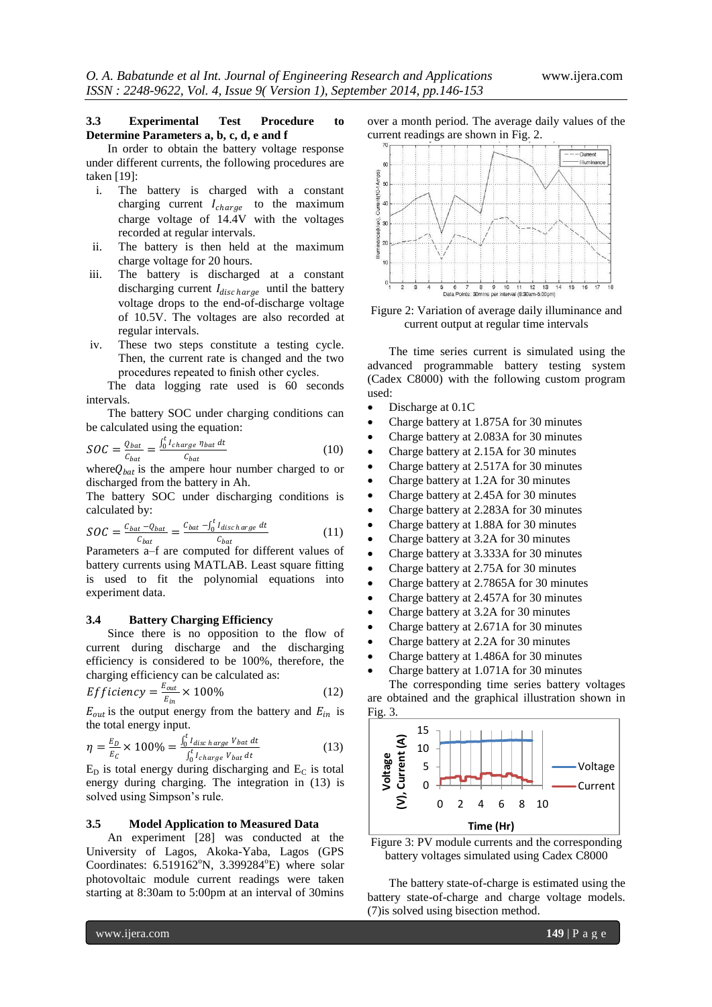# **3.3 Experimental Test Procedure to Determine Parameters a, b, c, d, e and f**

In order to obtain the battery voltage response under different currents, the following procedures are taken [19]:

- i. The battery is charged with a constant charging current  $I_{charge}$  to the maximum charge voltage of 14.4V with the voltages recorded at regular intervals.
- ii. The battery is then held at the maximum charge voltage for 20 hours.
- iii. The battery is discharged at a constant discharging current  $I_{disc \, harge}$  until the battery voltage drops to the end-of-discharge voltage of 10.5V. The voltages are also recorded at regular intervals.
- iv. These two steps constitute a testing cycle. Then, the current rate is changed and the two procedures repeated to finish other cycles.

The data logging rate used is 60 seconds intervals.

The battery SOC under charging conditions can be calculated using the equation:

$$
SOC = \frac{Q_{bat}}{C_{bat}} = \frac{\int_0^t I_{charge} \eta_{bat} dt}{C_{bat}} \tag{10}
$$

where  $Q_{bat}$  is the ampere hour number charged to or discharged from the battery in Ah.

The battery SOC under discharging conditions is calculated by:

$$
SOC = \frac{c_{bat} - Q_{bat}}{c_{bat}} = \frac{c_{bat} - \int_0^t I_{disc \, harge} \, dt}{c_{bat}} \tag{11}
$$

Parameters a–f are computed for different values of battery currents using MATLAB. Least square fitting is used to fit the polynomial equations into experiment data.

#### **3.4 Battery Charging Efficiency**

Since there is no opposition to the flow of current during discharge and the discharging efficiency is considered to be 100%, therefore, the charging efficiency can be calculated as:

$$
Efficiency = \frac{E_{out}}{E_{in}} \times 100\%
$$
 (12)

 $E_{out}$  is the output energy from the battery and  $E_{in}$  is the total energy input.

$$
\eta = \frac{E_D}{E_C} \times 100\% = \frac{\int_0^t I_{disc \, harge} \, V_{bat} \, dt}{\int_0^t I_{charge} \, V_{bat} \, dt} \tag{13}
$$

 $E_D$  is total energy during discharging and  $E_C$  is total energy during charging. The integration in (13) is solved using Simpson's rule.

#### **3.5 Model Application to Measured Data**

An experiment [28] was conducted at the University of Lagos, Akoka-Yaba, Lagos (GPS Coordinates:  $6.519162^{\circ}N$ ,  $3.399284^{\circ}E$ ) where solar photovoltaic module current readings were taken starting at 8:30am to 5:00pm at an interval of 30mins

over a month period. The average daily values of the current readings are shown in Fig. 2.



Figure 2: Variation of average daily illuminance and current output at regular time intervals

The time series current is simulated using the advanced programmable battery testing system (Cadex C8000) with the following custom program used:

- Discharge at 0.1C
- Charge battery at 1.875A for 30 minutes
- Charge battery at 2.083A for 30 minutes
- Charge battery at 2.15A for 30 minutes
- Charge battery at 2.517A for 30 minutes
- Charge battery at 1.2A for 30 minutes
- Charge battery at 2.45A for 30 minutes
- Charge battery at 2.283A for 30 minutes
- Charge battery at 1.88A for 30 minutes
- Charge battery at 3.2A for 30 minutes
- Charge battery at 3.333A for 30 minutes
- Charge battery at 2.75A for 30 minutes
- Charge battery at 2.7865A for 30 minutes
- Charge battery at 2.457A for 30 minutes
- Charge battery at 3.2A for 30 minutes
- Charge battery at 2.671A for 30 minutes
- Charge battery at 2.2A for 30 minutes
- Charge battery at 1.486A for 30 minutes
- Charge battery at 1.071A for 30 minutes

The corresponding time series battery voltages are obtained and the graphical illustration shown in Fig. 3.



Figure 3: PV module currents and the corresponding battery voltages simulated using Cadex C8000

The battery state-of-charge is estimated using the battery state-of-charge and charge voltage models. (7)is solved using bisection method.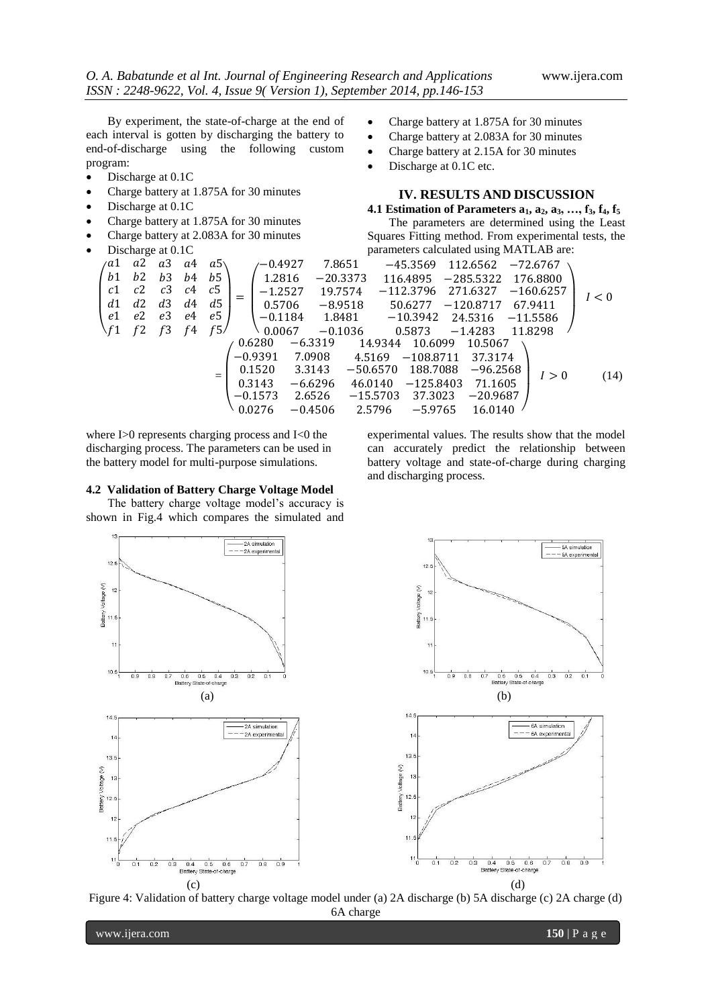By experiment, the state-of-charge at the end of each interval is gotten by discharging the battery to end-of-discharge using the following custom program:

- Discharge at 0.1C
- Charge battery at 1.875A for 30 minutes
- Discharge at 0.1C
- Charge battery at 1.875A for 30 minutes
- Charge battery at 2.083A for 30 minutes
- 
- Charge battery at 1.875A for 30 minutes
- Charge battery at 2.083A for 30 minutes
- Charge battery at 2.15A for 30 minutes
- Discharge at 0.1C etc.

# **IV. RESULTS AND DISCUSSION**

**4.1 Estimation of Parameters a1, a2, a3, …, f3, f4, f<sup>5</sup>** The parameters are determined using the Least

| $\bullet$ | Charge battery at 2.083A for 30 minutes |                                                                                                                 |                |    |     |  |           |  |           |                                         | Squares Fitting method. From experimental tests, the |             |             |            |            |             |       |
|-----------|-----------------------------------------|-----------------------------------------------------------------------------------------------------------------|----------------|----|-----|--|-----------|--|-----------|-----------------------------------------|------------------------------------------------------|-------------|-------------|------------|------------|-------------|-------|
| $\bullet$ |                                         | Discharge at 0.1C                                                                                               |                |    |     |  |           |  |           | parameters calculated using MATLAB are: |                                                      |             |             |            |            |             |       |
|           | άl                                      | a2                                                                                                              | a3             | a4 | a5  |  | ′−0.4927  |  | 7.8651    |                                         |                                                      | $-45.3569$  |             | 112.6562   |            | $-72.6767$  |       |
|           | b1                                      | b2                                                                                                              | b <sub>3</sub> | b4 | b5  |  | 1.2816    |  |           | $-20.3373$<br>$-285.5322$<br>116.4895   |                                                      |             | 176.8800    |            |            |             |       |
|           | c1                                      | c2                                                                                                              | c <sub>3</sub> | c4 | c5  |  | $-1.2527$ |  | 19.7574   |                                         |                                                      | $-112.3796$ | 271.6327    |            |            | $-160.6257$ | I < 0 |
|           | d1                                      | d2                                                                                                              | d3             | d4 | d5  |  | 0.5706    |  | $-8.9518$ |                                         |                                                      | 50.6277     | $-120.8717$ |            |            | 67.9411     |       |
|           | e1                                      | e2                                                                                                              | e3             | e4 | e5  |  | $-0.1184$ |  |           | 1.8481                                  |                                                      | $-10.3942$  |             | 24.5316    | $-11.5586$ |             |       |
|           | ~f1                                     |                                                                                                                 |                | f4 | f5/ |  | 0.0067    |  |           | $-0.1036$                               |                                                      | 0.5873      |             | $-1.4283$  |            | 11.8298     |       |
|           |                                         | 0.6280<br>$-6.3319$<br>14.9344<br>10.6099<br>10.5067<br>$-0.9391$<br>7.0908<br>4.5169<br>$-108.8711$<br>37.3174 |                |    |     |  |           |  |           |                                         |                                                      |             |             |            |            |             |       |
|           |                                         |                                                                                                                 |                |    | $=$ |  | 0.1520    |  | 3.3143    |                                         | $-50.6570$                                           | 188.7088    |             | $-96.2568$ |            | I>0         | (14)  |
|           |                                         | 0.3143<br>$-6.6296$<br>$-125.8403$<br>46.0140<br>71.1605                                                        |                |    |     |  |           |  |           |                                         |                                                      |             |             |            |            |             |       |
|           |                                         |                                                                                                                 |                |    |     |  | $-0.1573$ |  | 2.6526    | $-15.5703$                              |                                                      | 37.3023     |             | $-20.9687$ |            |             |       |
|           |                                         |                                                                                                                 |                |    |     |  | 0.0276    |  | $-0.4506$ | 2.5796                                  |                                                      | $-5.9765$   |             | 16.0140    |            |             |       |

where I>0 represents charging process and I<0 the discharging process. The parameters can be used in the battery model for multi-purpose simulations.

#### **4.2 Validation of Battery Charge Voltage Model**

The battery charge voltage model's accuracy is shown in Fig.4 which compares the simulated and experimental values. The results show that the model can accurately predict the relationship between battery voltage and state-of-charge during charging and discharging process.



Figure 4: Validation of battery charge voltage model under (a) 2A discharge (b) 5A discharge (c) 2A charge (d) 6A charge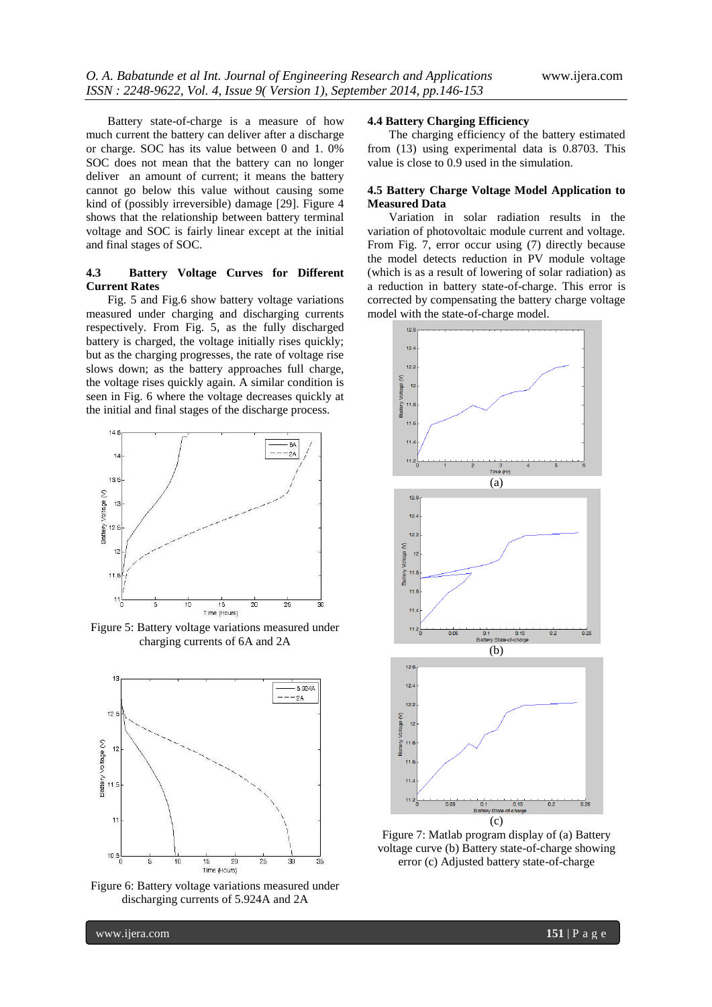Battery state-of-charge is a measure of how much current the battery can deliver after a discharge or charge. SOC has its value between 0 and 1. 0% SOC does not mean that the battery can no longer deliver an amount of current; it means the battery cannot go below this value without causing some kind of (possibly irreversible) damage [29]. Figure 4 shows that the relationship between battery terminal voltage and SOC is fairly linear except at the initial and final stages of SOC.

### **4.3 Battery Voltage Curves for Different Current Rates**

Fig. 5 and Fig.6 show battery voltage variations measured under charging and discharging currents respectively. From Fig. 5, as the fully discharged battery is charged, the voltage initially rises quickly; but as the charging progresses, the rate of voltage rise slows down; as the battery approaches full charge, the voltage rises quickly again. A similar condition is seen in Fig. 6 where the voltage decreases quickly at the initial and final stages of the discharge process.



Figure 5: Battery voltage variations measured under charging currents of 6A and 2A



Figure 6: Battery voltage variations measured under discharging currents of 5.924A and 2A

#### **4.4 Battery Charging Efficiency**

The charging efficiency of the battery estimated from (13) using experimental data is 0.8703. This value is close to 0.9 used in the simulation.

#### **4.5 Battery Charge Voltage Model Application to Measured Data**

Variation in solar radiation results in the variation of photovoltaic module current and voltage. From Fig. 7, error occur using (7) directly because the model detects reduction in PV module voltage (which is as a result of lowering of solar radiation) as a reduction in battery state-of-charge. This error is corrected by compensating the battery charge voltage model with the state-of-charge model.



Figure 7: Matlab program display of (a) Battery voltage curve (b) Battery state-of-charge showing error (c) Adjusted battery state-of-charge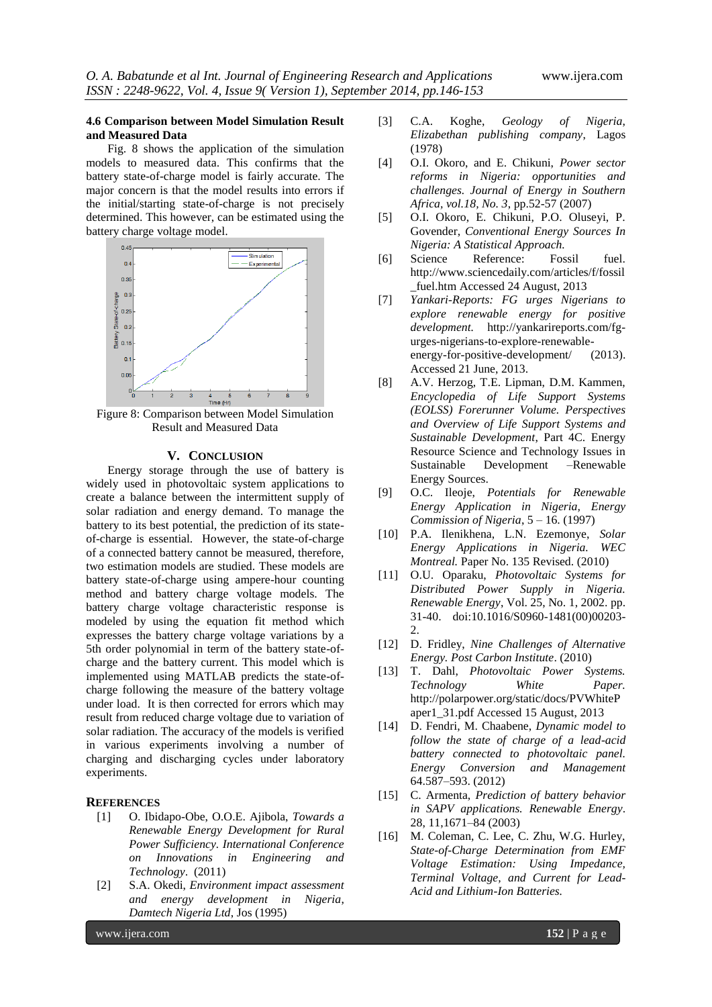#### **4.6 Comparison between Model Simulation Result and Measured Data**

Fig. 8 shows the application of the simulation models to measured data. This confirms that the battery state-of-charge model is fairly accurate. The major concern is that the model results into errors if the initial/starting state-of-charge is not precisely determined. This however, can be estimated using the battery charge voltage model.



Figure 8: Comparison between Model Simulation Result and Measured Data

#### **V. CONCLUSION**

Energy storage through the use of battery is widely used in photovoltaic system applications to create a balance between the intermittent supply of solar radiation and energy demand. To manage the battery to its best potential, the prediction of its stateof-charge is essential. However, the state-of-charge of a connected battery cannot be measured, therefore, two estimation models are studied. These models are battery state-of-charge using ampere-hour counting method and battery charge voltage models. The battery charge voltage characteristic response is modeled by using the equation fit method which expresses the battery charge voltage variations by a 5th order polynomial in term of the battery state-ofcharge and the battery current. This model which is implemented using MATLAB predicts the state-ofcharge following the measure of the battery voltage under load. It is then corrected for errors which may result from reduced charge voltage due to variation of solar radiation. The accuracy of the models is verified in various experiments involving a number of charging and discharging cycles under laboratory experiments.

# **REFERENCES**

- [1] O. Ibidapo-Obe, O.O.E. Ajibola, *Towards a Renewable Energy Development for Rural Power Sufficiency. International Conference on Innovations in Engineering and Technology*. (2011)
- [2] S.A. Okedi, *Environment impact assessment and energy development in Nigeria*, *Damtech Nigeria Ltd*, Jos (1995)
- [3] C.A. Koghe, *Geology of Nigeria*, *Elizabethan publishing company*, Lagos (1978)
- [4] O.I. Okoro, and E. Chikuni, *Power sector reforms in Nigeria: opportunities and challenges. Journal of Energy in Southern Africa, vol.18, No. 3*, pp.52-57 (2007)
- [5] O.I. Okoro, E. Chikuni, P.O. Oluseyi, P. Govender, *Conventional Energy Sources In Nigeria: A Statistical Approach.*
- [6] Science Reference: Fossil fuel. http://www.sciencedaily.com/articles/f/fossil \_fuel.htm Accessed 24 August, 2013
- [7] *Yankari-Reports: FG urges Nigerians to explore renewable energy for positive development.* [http://yankarireports.com/fg](http://yankarireports.com/fg-urges-nigerians-to-explore-renewable-energy-for-positive-development/)[urges-nigerians-to-explore-renewable](http://yankarireports.com/fg-urges-nigerians-to-explore-renewable-energy-for-positive-development/)[energy-for-positive-development/](http://yankarireports.com/fg-urges-nigerians-to-explore-renewable-energy-for-positive-development/) (2013). Accessed 21 June, 2013.
- [8] A.V. Herzog, T.E. Lipman, D.M. Kammen, *Encyclopedia of Life Support Systems (EOLSS) Forerunner Volume. Perspectives and Overview of Life Support Systems and Sustainable Development*, Part 4C. Energy Resource Science and Technology Issues in Sustainable Development –Renewable Energy Sources.
- [9] O.C. Ileoje, *Potentials for Renewable Energy Application in Nigeria, Energy Commission of Nigeria*, 5 – 16. (1997)
- [10] P.A. Ilenikhena, L.N. Ezemonye, *Solar Energy Applications in Nigeria. WEC Montreal.* Paper No. 135 Revised. (2010)
- [11] O.U. Oparaku, *Photovoltaic Systems for Distributed Power Supply in Nigeria. Renewable Energy*, Vol. 25, No. 1, 2002. pp. 31-40. doi:10.1016/S0960-1481(00)00203- 2.
- [12] D. Fridley, *Nine Challenges of Alternative Energy. Post Carbon Institute*. (2010)
- [13] T. Dahl, *Photovoltaic Power Systems. Technology White Paper.* http://polarpower.org/static/docs/PVWhiteP aper1\_31.pdf Accessed 15 August, 2013
- [14] D. Fendri, M. Chaabene, *Dynamic model to follow the state of charge of a lead-acid battery connected to photovoltaic panel. Energy Conversion and Management* 64.587–593. (2012)
- [15] C. Armenta, *Prediction of battery behavior in SAPV applications. Renewable Energy*. 28, 11,1671–84 (2003)
- [16] M. Coleman, C. Lee, C. Zhu, W.G. Hurley, *State-of-Charge Determination from EMF Voltage Estimation: Using Impedance, Terminal Voltage, and Current for Lead-Acid and Lithium-Ion Batteries.*

www.ijera.com **152** | P a g e